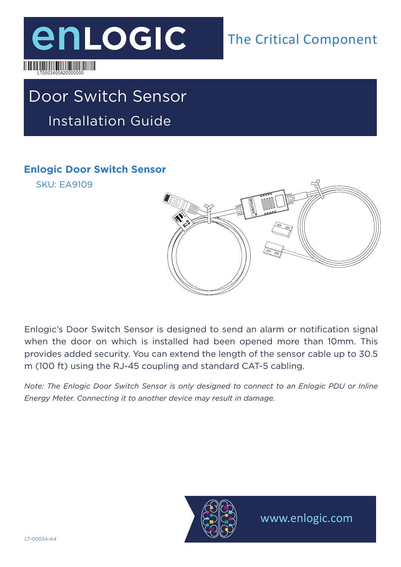

## Door Switch Sensor Installation Guide

#### **Enlogic Door Switch Sensor**

SKU: EA9109

LT0003400A20000000



Enlogic's Door Switch Sensor is designed to send an alarm or notification signal when the door on which is installed had been opened more than 10mm. This provides added security. You can extend the length of the sensor cable up to 30.5 m (100 ft) using the RJ-45 coupling and standard CAT-5 cabling.

*Note: The Enlogic Door Switch Sensor is only designed to connect to an Enlogic PDU or Inline Energy Meter. Connecting it to another device may result in damage.*



www.enlogic.com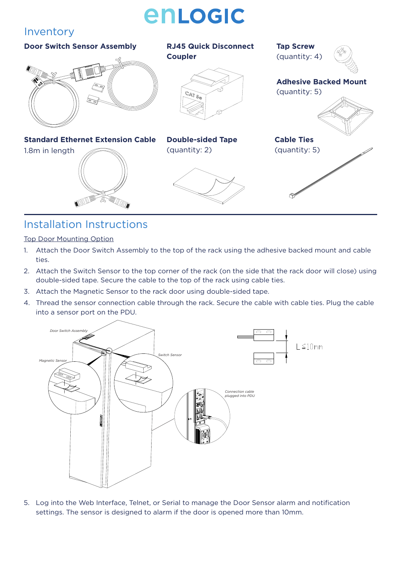# enLogic

#### Inventory

#### **Door Switch Sensor Assembly RJ45 Quick Disconnect Tap Screw Coupler** (quantity: 4)**Adhesive Backed Mount**  (quantity: 5) CAT 5e **Standard Ethernet Extension Cable Double-sided Tape Cable Ties**  1.8m in length (quantity: 2) (quantity: 5)

### Installation Instructions

Top Door Mounting Option

- 1. Attach the Door Switch Assembly to the top of the rack using the adhesive backed mount and cable ties.
- 2. Attach the Switch Sensor to the top corner of the rack (on the side that the rack door will close) using double-sided tape. Secure the cable to the top of the rack using cable ties.
- 3. Attach the Magnetic Sensor to the rack door using double-sided tape.
- 4. Thread the sensor connection cable through the rack. Secure the cable with cable ties. Plug the cable into a sensor port on the PDU.



5. Log into the Web Interface, Telnet, or Serial to manage the Door Sensor alarm and notification settings. The sensor is designed to alarm if the door is opened more than 10mm.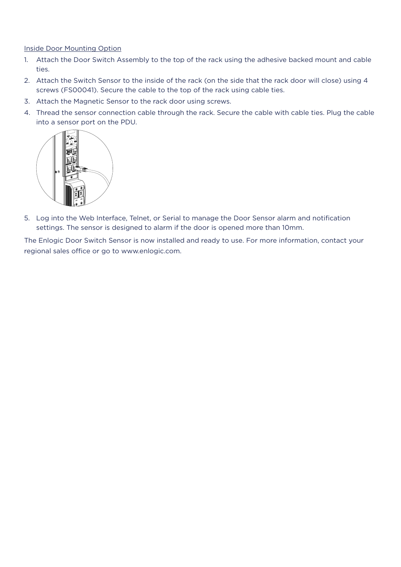#### Inside Door Mounting Option

- 1. Attach the Door Switch Assembly to the top of the rack using the adhesive backed mount and cable ties.
- 2. Attach the Switch Sensor to the inside of the rack (on the side that the rack door will close) using 4 screws (FS00041). Secure the cable to the top of the rack using cable ties.
- 3. Attach the Magnetic Sensor to the rack door using screws.
- 4. Thread the sensor connection cable through the rack. Secure the cable with cable ties. Plug the cable into a sensor port on the PDU.



5. Log into the Web Interface, Telnet, or Serial to manage the Door Sensor alarm and notification settings. The sensor is designed to alarm if the door is opened more than 10mm.

The Enlogic Door Switch Sensor is now installed and ready to use. For more information, contact your regional sales office or go to www.enlogic.com.